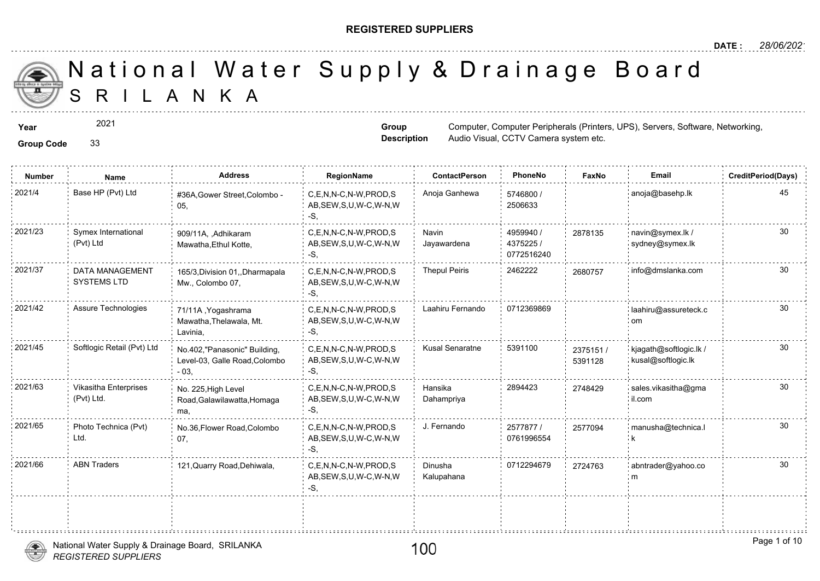### **REGISTERED SUPPLIERS**

**Group Description**

Audio Visual, CCTV Camera system e

A N K A National Water Supply & Drainage

**Year** Computer, Computer, Computer, Computer, Computer, Peripherals (Printers, UPS), Servers, Software, Software, Software, Software, Software, Software, Software, Software, Software, Software, Software, Software, Softwar

2021

**Group Code** 33

**Number Name Address RegionName ContactPerson PhoneNo FaxNo Email CreditPeriod(Days)** 5746800 / 2506633 C,E,N,N-C,N-W,PROD,S Anoja Ganhewa AB,SEW,S,U,W-C,W-N,W -S, 2021/4 Base HP (Pvt) Ltd #36A,Gower Street,Colombo - C,E,N,N-C,N-W,PROD,S Anoja Ganhewa 5746800 / 05, 4959940 / 4375225 / 0772516240 Navin Jayawardena 2021/23 Symex International 909/11A, ,Adhikaram C,E,N,N-C,N-W,PROD,S Navin 4959940 / 28781 AB,SEW,S,U,W-C,W-N,W -S, 909/11A, ,Adhikaram Mawatha,Ethul Kotte, Symex International (Pvt) Ltd 287813 C,E,N,N-C,N-W,PROD,S Thepul Peiris 2462222 26807 AB,SEW,S,U,W-C,W-N,W -S, 2021/37 DATA MANAGEMENT 165/3,Division 01,,Dharmapala C,E,N,N-C,N-W,PROD,S Thepul Peiris 2462222 268075 Mw., Colombo 07, DATA MANAGEMENT SYSTEMS LTD 2021/42 Assure Technologies 71/11A Yogashrama C,E,N,N-C,N-W,PROD,S Laahiru Fernando 0712369869 AB,SEW,S,U,W-C,W-N,W -S, 71/11A ,Yogashrama Mawatha,Thelawala, Mt. Lavinia, C,E,N,N-C,N-W,PROD,S Kusal Senaratne 5391100 AB,SEW,S,U,W-C,W-N,W -S, 2021/45 Softlogic Retail (Pvt) Ltd <sub>No.402,"</sub>Panasonic" Building, C,E,N,N-C,N-W,PROD,S Kusal Senaratne 5391100 <sub>23751</sub> Level-03, Galle Road,Colombo - 03, 23751 539112 Hansika 2894423 274842 Dahampriya 2021/63 Vikasitha Enterprises No. 225,High Level C,E,N,N-C,N-W,PROD,S Hansika 2894423 274842 AB,SEW,S,U,W-C,W-N,W -S, No. 225,High Level Road,Galawilawatta,Homaga ma, Vikasitha Enterprises (Pvt) Ltd. 274842 2577877 / 0761996554 C,E,N,N-C,N-W,PROD,S J. Fernando AB,SEW,S,U,W-C,W-N,W -S, 2021/65 Photo Technica (Pvt) No.36,Flower Road,Colombo C,E,N,N-C,N-W,PROD,S J. Fernando 2577877 / 257709 07, Photo Technica (Pvt) Ltd. 257709 Dinusha 0712294679 30 Kalupahana C,E,N,N-C,N-W,PROD,S AB,SEW,S,U,W-C,W-N,W -S, 2021/66 ABN Traders 121,Quarry Road,Dehiwala, c.E.N.N-C,N-W,PROD,S Dinusha 1712294679 272476

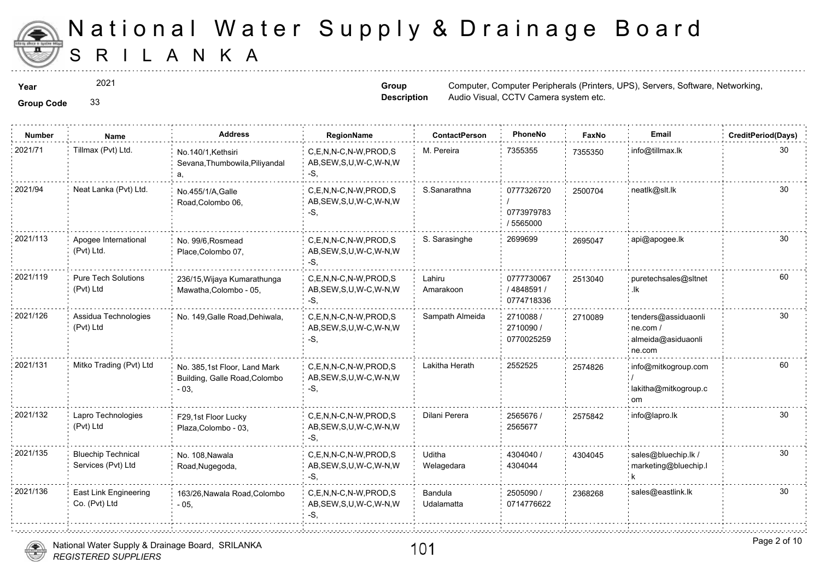

2021

**Group Code** 33

**Group Description**

**Year** Computer, Computer, Computer, Computer, Computer, Peripherals (Printers, UPS), Servers, Software, Software, Software, Software, Software, Software, Software, Software, Software, Software, Software, Software, Softwar Audio Visual, CCTV Camera system e

| <b>Group Code</b> |  |
|-------------------|--|
|                   |  |

| <b>Number</b> | <b>Name</b>                                     | <b>Address</b>                                                          | RegionName                                                   | <b>ContactPerson</b>  | PhoneNo                               | Faxl   |
|---------------|-------------------------------------------------|-------------------------------------------------------------------------|--------------------------------------------------------------|-----------------------|---------------------------------------|--------|
| 2021/71       | Tillmax (Pvt) Ltd.                              | No.140/1.Kethsiri<br>Sevana, Thumbowila, Piliyandal<br>а.               | C,E,N,N-C,N-W,PROD,S<br>AB, SEW, S, U, W-C, W-N, W<br>-S.    | M. Pereira            | 7355355                               | 735535 |
| 2021/94       | Neat Lanka (Pvt) Ltd.                           | No.455/1/A.Galle<br>Road, Colombo 06,                                   | C.E.N.N-C.N-W.PROD.S<br>AB, SEW, S, U, W-C, W-N, W<br>$-S$ . | S.Sanarathna          | 0777326720<br>0773979783<br>/ 5565000 | 250070 |
| 2021/113      | Apogee International<br>(Pvt) Ltd.              | No. 99/6, Rosmead<br>Place, Colombo 07,                                 | C.E.N.N-C.N-W.PROD.S<br>AB, SEW, S, U, W-C, W-N, W<br>-S,    | S. Sarasinghe         | 2699699                               | 269504 |
| 2021/119      | <b>Pure Tech Solutions</b><br>(Pvt) Ltd         | 236/15, Wijaya Kumarathunga<br>Mawatha, Colombo - 05,                   | C.E.N.N-C.N-W.PROD.S<br>AB, SEW, S, U, W-C, W-N, W<br>-S.    | Lahiru<br>Amarakoon   | 0777730067<br>/4848591/<br>0774718336 | 251304 |
| 2021/126      | Assidua Technologies<br>(Pvt) Ltd               | No. 149, Galle Road, Dehiwala,                                          | C.E.N.N-C.N-W.PROD.S<br>AB, SEW, S, U, W-C, W-N, W<br>$-S$ . | Sampath Almeida       | 2710088 /<br>2710090 /<br>0770025259  | 271008 |
| 2021/131      | Mitko Trading (Pvt) Ltd                         | No. 385,1st Floor, Land Mark<br>Building, Galle Road, Colombo<br>$-03,$ | C,E,N,N-C,N-W,PROD,S<br>AB, SEW, S, U, W-C, W-N, W<br>-S,    | Lakitha Herath        | 2552525                               | 257482 |
| 2021/132      | Lapro Technologies<br>(Pvt) Ltd                 | F29,1st Floor Lucky<br>Plaza, Colombo - 03,                             | C,E,N,N-C,N-W,PROD,S<br>AB, SEW, S, U, W-C, W-N, W<br>-S.    | Dilani Perera         | 2565676 /<br>2565677                  | 257584 |
| 2021/135      | <b>Bluechip Technical</b><br>Services (Pvt) Ltd | No. 108, Nawala<br>Road, Nugegoda,                                      | C,E,N,N-C,N-W,PROD,S<br>AB, SEW, S, U, W-C, W-N, W<br>-S,    | Uditha<br>Welagedara  | 4304040 /<br>4304044                  | 430404 |
| 2021/136      | East Link Engineering<br>Co. (Pvt) Ltd          | 163/26, Nawala Road, Colombo<br>$-05,$                                  | C,E,N,N-C,N-W,PROD,S<br>AB, SEW, S, U, W-C, W-N, W<br>$-S$ . | Bandula<br>Udalamatta | 2505090 /<br>0714776622               | 236826 |



÷.

. . . . . . . . . . . . . . . . . . . .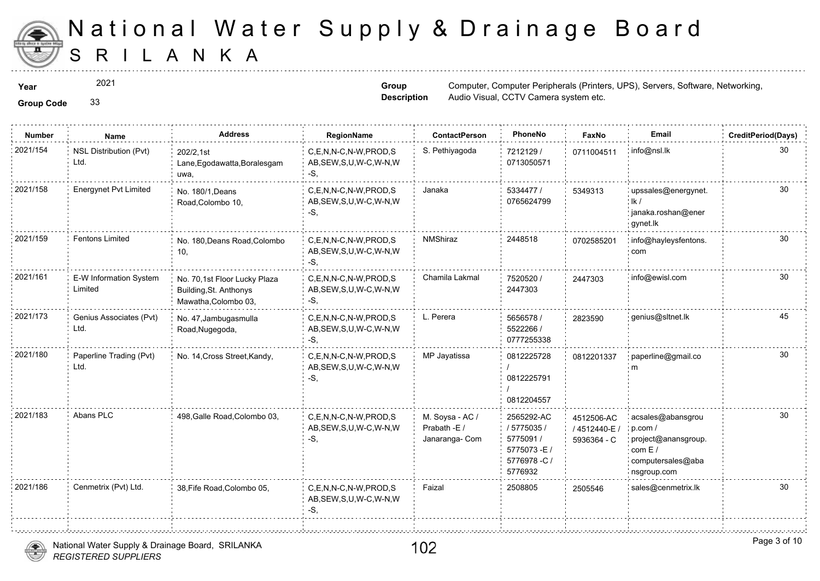

2021

**Group Code** 33

**Group Description**

**Year** Computer, Computer, Computer, Computer, Computer, Peripherals (Printers, UPS), Servers, Software, Software, Software, Software, Software, Software, Software, Software, Software, Software, Software, Software, Softwar Audio Visual, CCTV Camera system e

| <b>Group Code</b> |
|-------------------|
|                   |

| <b>Number</b> | Name                              | <b>Address</b>                                                                 | RegionName                                                   | <b>ContactPerson</b>                              | PhoneNo                                                                         | Faxl                        |
|---------------|-----------------------------------|--------------------------------------------------------------------------------|--------------------------------------------------------------|---------------------------------------------------|---------------------------------------------------------------------------------|-----------------------------|
| 2021/154      | NSL Distribution (Pvt)<br>Ltd.    | 202/2,1st<br>Lane, Egodawatta, Boralesgam<br>uwa,                              | C,E,N,N-C,N-W,PROD,S<br>AB, SEW, S, U, W-C, W-N, W<br>$-S$ , | S. Pethiyagoda                                    | 7212129 /<br>0713050571                                                         | 071100                      |
| 2021/158      | <b>Energynet Pvt Limited</b>      | No. 180/1, Deans<br>Road, Colombo 10,                                          | C,E,N,N-C,N-W,PROD,S<br>AB, SEW, S, U, W-C, W-N, W<br>$-S$ , | Janaka                                            | 5334477 /<br>0765624799                                                         | 534931                      |
| 2021/159      | <b>Fentons Limited</b>            | No. 180, Deans Road, Colombo<br>10,                                            | C,E,N,N-C,N-W,PROD,S<br>AB, SEW, S, U, W-C, W-N, W<br>$-S,$  | <b>NMShiraz</b>                                   | 2448518                                                                         | 070258                      |
| 2021/161      | E-W Information System<br>Limited | No. 70,1st Floor Lucky Plaza<br>Building, St. Anthonys<br>Mawatha, Colombo 03, | C,E,N,N-C,N-W,PROD,S<br>AB, SEW, S, U, W-C, W-N, W<br>-S,    | Chamila Lakmal                                    | 7520520 /<br>2447303                                                            | 244730                      |
| 2021/173      | Genius Associates (Pvt)<br>Ltd.   | No. 47, Jambugasmulla<br>Road, Nugegoda,                                       | C,E,N,N-C,N-W,PROD,S<br>AB, SEW, S, U, W-C, W-N, W<br>$-S,$  | L. Perera                                         | 5656578 /<br>5522266 /<br>0777255338                                            | 282359                      |
| 2021/180      | Paperline Trading (Pvt)<br>Ltd.   | No. 14, Cross Street, Kandy,                                                   | C,E,N,N-C,N-W,PROD,S<br>AB, SEW, S, U, W-C, W-N, W<br>$-S,$  | MP Jayatissa                                      | 0812225728<br>0812225791<br>0812204557                                          | 081220                      |
| 2021/183      | Abans PLC                         | 498, Galle Road, Colombo 03,                                                   | C,E,N,N-C,N-W,PROD,S<br>AB, SEW, S, U, W-C, W-N, W<br>$-S$ . | M. Soysa - AC /<br>Prabath -E /<br>Janaranga- Com | 2565292-AC<br>/ 5775035 /<br>5775091 /<br>5775073-E/<br>5776978 -C /<br>5776932 | 451250<br>/ 45124<br>593636 |
| 2021/186      | Cenmetrix (Pvt) Ltd.              | 38, Fife Road, Colombo 05,                                                     | C,E,N,N-C,N-W,PROD,S<br>AB, SEW, S, U, W-C, W-N, W<br>-S,    | Faizal                                            | 2508805                                                                         | 250554                      |

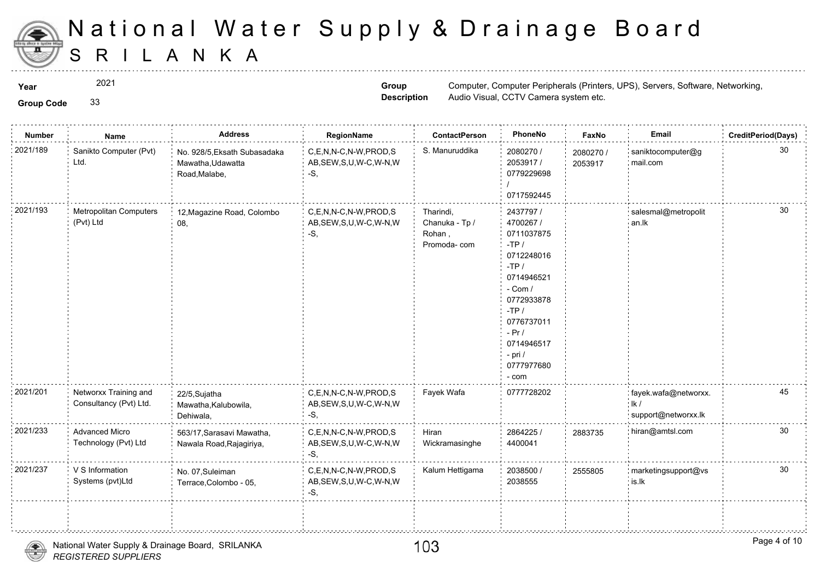

2021

**Group Code** 33

**Group Description**

**Year** Computer, Computer, Computer, Computer, Computer, Peripherals (Printers, UPS), Servers, Software, Software, Software, Software, Software, Software, Software, Software, Software, Software, Software, Software, Softwar Audio Visual, CCTV Camera system e

| <b>Group Code</b> |  |
|-------------------|--|

| Number   | Name                                            | <b>Address</b>                                                     | RegionName                                                   | <b>ContactPerson</b>                                 | PhoneNo                                                                                                                                                                                             | Fax             |
|----------|-------------------------------------------------|--------------------------------------------------------------------|--------------------------------------------------------------|------------------------------------------------------|-----------------------------------------------------------------------------------------------------------------------------------------------------------------------------------------------------|-----------------|
| 2021/189 | Sanikto Computer (Pvt)<br>Ltd.                  | No. 928/5, Eksath Subasadaka<br>Mawatha, Udawatta<br>Road, Malabe, | C,E,N,N-C,N-W,PROD,S<br>AB, SEW, S, U, W-C, W-N, W<br>-S,    | S. Manuruddika                                       | 2080270 /<br>2053917 /<br>0779229698<br>0717592445                                                                                                                                                  | 208027<br>20539 |
| 2021/193 | <b>Metropolitan Computers</b><br>(Pvt) Ltd      | 12, Magazine Road, Colombo<br>08,                                  | C,E,N,N-C,N-W,PROD,S<br>AB, SEW, S, U, W-C, W-N, W<br>$-S,$  | Tharindi,<br>Chanuka - Tp /<br>Rohan,<br>Promoda-com | 2437797 /<br>4700267 /<br>0711037875<br>$-TP/$<br>0712248016<br>$-TP/$<br>0714946521<br>$-$ Com $/$<br>0772933878<br>$-TP/$<br>0776737011<br>$-Pr/$<br>0714946517<br>- pri /<br>0777977680<br>- com |                 |
| 2021/201 | Networxx Training and<br>Consultancy (Pvt) Ltd. | 22/5, Sujatha<br>Mawatha, Kalubowila,<br>Dehiwala,                 | C,E,N,N-C,N-W,PROD,S<br>AB, SEW, S, U, W-C, W-N, W<br>-S,    | Fayek Wafa                                           | 0777728202                                                                                                                                                                                          |                 |
| 2021/233 | Advanced Micro<br>Technology (Pvt) Ltd          | 563/17, Sarasavi Mawatha,<br>Nawala Road, Rajagiriya,              | C,E,N,N-C,N-W,PROD,S<br>AB, SEW, S, U, W-C, W-N, W<br>$-S,$  | Hiran<br>Wickramasinghe                              | 2864225 /<br>4400041                                                                                                                                                                                | 288373          |
| 2021/237 | V S Information<br>Systems (pvt)Ltd             | No. 07, Suleiman<br>Terrace, Colombo - 05,                         | C.E.N.N-C.N-W.PROD.S<br>AB, SEW, S, U, W-C, W-N, W<br>$-S$ . | Kalum Hettigama                                      | 2038500 /<br>2038555                                                                                                                                                                                | 255580          |
|          |                                                 |                                                                    |                                                              |                                                      |                                                                                                                                                                                                     |                 |
|          |                                                 |                                                                    |                                                              |                                                      |                                                                                                                                                                                                     |                 |

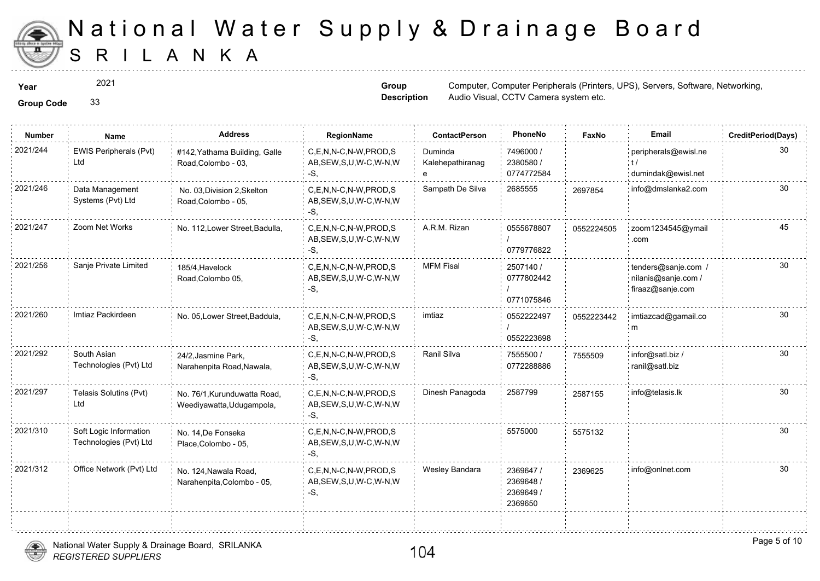

2021

**Group Code** 33

**Group Description**

**Year** Computer, Computer, Computer, Computer, Computer, Peripherals (Printers, UPS), Servers, Software, Software, Software, Software, Software, Software, Software, Software, Software, Software, Software, Software, Softwar Audio Visual, CCTV Camera system e

| <b>Group Code</b> |  |
|-------------------|--|
|                   |  |

| <b>Number</b> | Name                                             | <b>Address</b>                                            | RegionName                                                   | <b>ContactPerson</b>             | PhoneNo                                        | Faxl   |
|---------------|--------------------------------------------------|-----------------------------------------------------------|--------------------------------------------------------------|----------------------------------|------------------------------------------------|--------|
| 2021/244      | EWIS Peripherals (Pvt)<br>Ltd                    | #142, Yathama Building, Galle<br>Road, Colombo - 03,      | C,E,N,N-C,N-W,PROD,S<br>AB, SEW, S, U, W-C, W-N, W<br>-S,    | Duminda<br>Kalehepathiranag<br>e | 7496000 /<br>2380580 /<br>0774772584           |        |
| 2021/246      | Data Management<br>Systems (Pvt) Ltd             | No. 03, Division 2, Skelton<br>Road, Colombo - 05,        | C.E.N.N-C.N-W.PROD.S<br>AB, SEW, S, U, W-C, W-N, W<br>-S.    | Sampath De Silva                 | 2685555                                        | 269785 |
| 2021/247      | Zoom Net Works                                   | No. 112, Lower Street, Badulla,                           | C,E,N,N-C,N-W,PROD,S<br>AB, SEW, S, U, W-C, W-N, W<br>-S.    | A.R.M. Rizan                     | 0555678807<br>0779776822                       | 055222 |
| 2021/256      | Sanje Private Limited                            | 185/4. Havelock<br>Road, Colombo 05,                      | C.E.N.N-C.N-W.PROD.S<br>AB, SEW, S, U, W-C, W-N, W<br>$-S$ . | <b>MFM Fisal</b>                 | 2507140 /<br>0777802442<br>0771075846          |        |
| 2021/260      | Imtiaz Packirdeen                                | No. 05, Lower Street, Baddula,                            | C.E.N.N-C.N-W.PROD.S<br>AB, SEW, S, U, W-C, W-N, W<br>-S.    | imtiaz                           | 0552222497<br>0552223698                       | 055222 |
| 2021/292      | South Asian<br>Technologies (Pvt) Ltd            | 24/2, Jasmine Park,<br>Narahenpita Road, Nawala,          | C.E.N.N-C.N-W.PROD.S<br>AB, SEW, S, U, W-C, W-N, W<br>-S.    | Ranil Silva                      | 7555500 /<br>0772288886                        | 755550 |
| 2021/297      | Telasis Solutins (Pvt)<br>Ltd                    | No. 76/1, Kurunduwatta Road,<br>Weediyawatta, Uduqampola, | C.E.N.N-C.N-W.PROD.S<br>AB, SEW, S, U, W-C, W-N, W<br>-S,    | Dinesh Panagoda                  | 2587799                                        | 258715 |
| 2021/310      | Soft Logic Information<br>Technologies (Pvt) Ltd | No. 14, De Fonseka<br>Place, Colombo - 05,                | C,E,N,N-C,N-W,PROD,S<br>AB, SEW, S, U, W-C, W-N, W<br>-S.    |                                  | 5575000                                        | 557513 |
| 2021/312      | Office Network (Pvt) Ltd                         | No. 124, Nawala Road,<br>Narahenpita, Colombo - 05,       | C,E,N,N-C,N-W,PROD,S<br>AB, SEW, S, U, W-C, W-N, W<br>$-S$ . | Wesley Bandara                   | 2369647 /<br>2369648 /<br>2369649 /<br>2369650 | 236962 |
|               |                                                  |                                                           |                                                              |                                  |                                                |        |



.<br>ระบบคุณการเป็นคุณการเป็นคุณการเป็นคุณการเป็นคุณการเป็นคุณการเป็นคุณการเป็นคุณการเป็นคุณการเป็นคุณการเป็นคุณการ

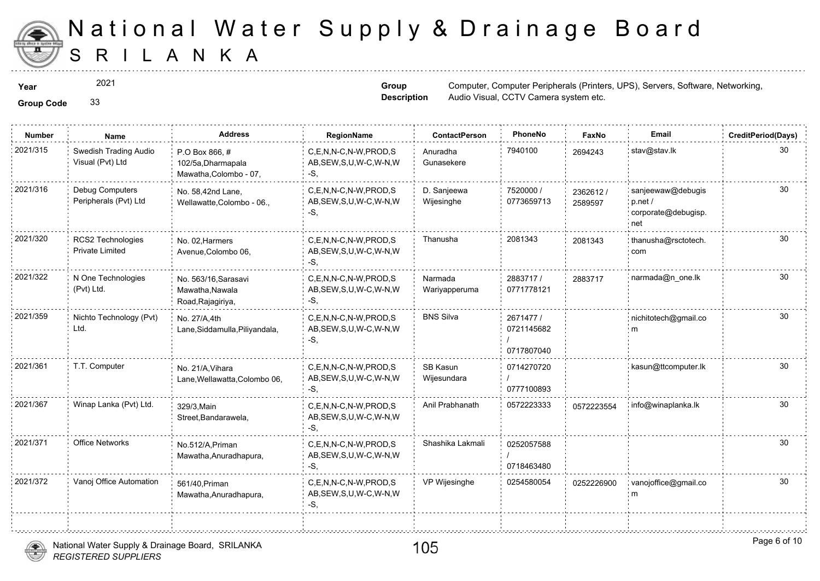

÷.

2021

**Group Code** 33

**Group Description**

**Year** Computer, Computer, Computer, Computer, Computer, Peripherals (Printers, UPS), Servers, Software, Software, Software, Software, Software, Software, Software, Software, Software, Software, Software, Software, Softwar Audio Visual, CCTV Camera system e

| <b>Group Code</b> |  |
|-------------------|--|

| <b>Number</b> | <b>Name</b>                                 | <b>Address</b>                                                | RegionName                                                   | <b>ContactPerson</b>      | PhoneNo                               | Faxl             |
|---------------|---------------------------------------------|---------------------------------------------------------------|--------------------------------------------------------------|---------------------------|---------------------------------------|------------------|
| 2021/315      | Swedish Trading Audio<br>Visual (Pvt) Ltd   | P.O Box 866.#<br>102/5a, Dharmapala<br>Mawatha, Colombo - 07, | C,E,N,N-C,N-W,PROD,S<br>AB, SEW, S, U, W-C, W-N, W<br>-S.    | Anuradha<br>Gunasekere    | 7940100                               | 269424           |
| 2021/316      | Debug Computers<br>Peripherals (Pvt) Ltd    | No. 58,42nd Lane,<br>Wellawatte, Colombo - 06.,               | C.E.N.N-C.N-W.PROD.S<br>AB, SEW, S, U, W-C, W-N, W<br>$-S$ . | D. Sanjeewa<br>Wijesinghe | 7520000 /<br>0773659713               | 236261<br>258959 |
| 2021/320      | RCS2 Technologies<br><b>Private Limited</b> | No. 02, Harmers<br>Avenue, Colombo 06,                        | C,E,N,N-C,N-W,PROD,S<br>AB, SEW, S, U, W-C, W-N, W<br>-S,    | Thanusha                  | 2081343                               | 208134           |
| 2021/322      | N One Technologies<br>(Pvt) Ltd.            | No. 563/16, Sarasavi<br>Mawatha, Nawala<br>Road, Rajagiriya,  | C,E,N,N-C,N-W,PROD,S<br>AB, SEW, S, U, W-C, W-N, W<br>-S.    | Narmada<br>Wariyapperuma  | 2883717/<br>0771778121                | 28837            |
| 2021/359      | Nichto Technology (Pvt)<br>Ltd.             | No. 27/A,4th<br>Lane, Siddamulla, Piliyandala,                | C.E.N.N-C.N-W.PROD.S<br>AB, SEW, S, U, W-C, W-N, W<br>-S.    | <b>BNS Silva</b>          | 2671477 /<br>0721145682<br>0717807040 |                  |
| 2021/361      | T.T. Computer                               | No. 21/A.Vihara<br>Lane, Wellawatta, Colombo 06,              | C,E,N,N-C,N-W,PROD,S<br>AB, SEW, S, U, W-C, W-N, W<br>-S,    | SB Kasun<br>Wijesundara   | 0714270720<br>0777100893              |                  |
| 2021/367      | Winap Lanka (Pvt) Ltd.                      | 329/3, Main<br>Street, Bandarawela,                           | C.E.N.N-C.N-W.PROD.S<br>AB, SEW, S, U, W-C, W-N, W<br>-S.    | Anil Prabhanath           | 0572223333                            | 057222           |
| 2021/371      | <b>Office Networks</b>                      | No.512/A, Priman<br>Mawatha, Anuradhapura,                    | C.E.N.N-C.N-W.PROD.S<br>AB, SEW, S, U, W-C, W-N, W<br>-S,    | Shashika Lakmali          | 0252057588<br>0718463480              |                  |
| 2021/372      | Vanoj Office Automation                     | 561/40, Priman<br>Mawatha, Anuradhapura,                      | C,E,N,N-C,N-W,PROD,S<br>AB, SEW, S, U, W-C, W-N, W<br>-S,    | VP Wijesinghe             | 0254580054                            | 025222           |
|               |                                             |                                                               |                                                              |                           |                                       |                  |



. . . . . . . . . . . . . . . . . . . .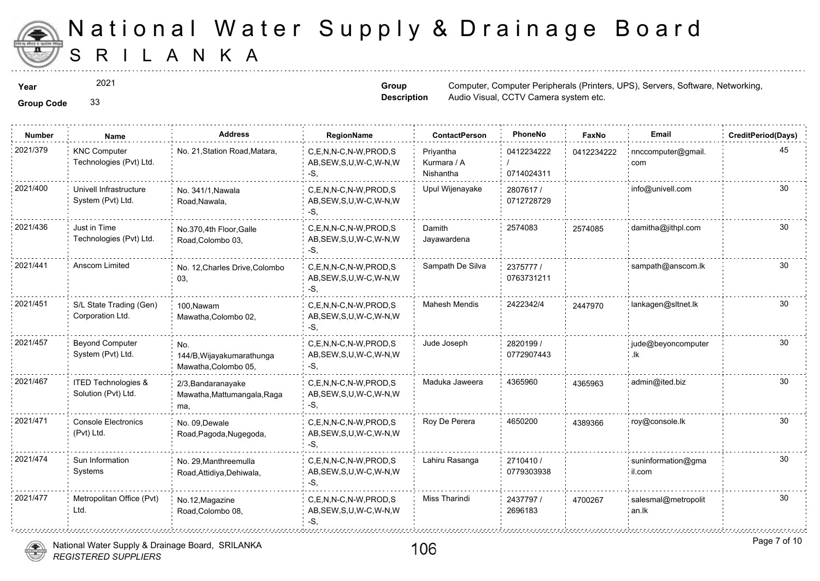

2021

**Group Description**

**Year** Computer, Computer, Computer, Computer, Computer, Peripherals (Printers, UPS), Servers, Software, Software, Software, Software, Software, Software, Software, Software, Software, Software, Software, Software, Softwar Audio Visual, CCTV Camera system e

**Group Code** 33

| <b>Number</b> | Name                                           | <b>Address</b>                                           | RegionName                                                   | <b>ContactPerson</b>                  | PhoneNo                  | Faxl   |
|---------------|------------------------------------------------|----------------------------------------------------------|--------------------------------------------------------------|---------------------------------------|--------------------------|--------|
| 2021/379      | <b>KNC Computer</b><br>Technologies (Pvt) Ltd. | No. 21, Station Road, Matara,                            | C,E,N,N-C,N-W,PROD,S<br>AB, SEW, S, U, W-C, W-N, W<br>-S.    | Priyantha<br>Kurmara / A<br>Nishantha | 0412234222<br>0714024311 | 041223 |
| 2021/400      | Univell Infrastructure<br>System (Pvt) Ltd.    | No. 341/1, Nawala<br>Road, Nawala,                       | C.E.N.N-C.N-W.PROD.S<br>AB, SEW, S, U, W-C, W-N, W<br>-S,    | Upul Wijenayake                       | 2807617/<br>0712728729   |        |
| 2021/436      | Just in Time<br>Technologies (Pvt) Ltd.        | No.370,4th Floor, Galle<br>Road, Colombo 03,             | C,E,N,N-C,N-W,PROD,S<br>AB, SEW, S, U, W-C, W-N, W<br>-S,    | Damith<br>Jayawardena                 | 2574083                  | 257408 |
| 2021/441      | Anscom Limited                                 | No. 12, Charles Drive, Colombo<br>03,                    | C,E,N,N-C,N-W,PROD,S<br>AB, SEW, S, U, W-C, W-N, W<br>-S.    | Sampath De Silva                      | 2375777 /<br>0763731211  |        |
| 2021/451      | S/L State Trading (Gen)<br>Corporation Ltd.    | 100.Nawam<br>Mawatha, Colombo 02,                        | C.E.N.N-C.N-W.PROD.S<br>AB, SEW, S, U, W-C, W-N, W<br>$-S$ . | <b>Mahesh Mendis</b>                  | 2422342/4                | 244797 |
| 2021/457      | <b>Beyond Computer</b><br>System (Pvt) Ltd.    | No.<br>144/B, Wijayakumarathunga<br>Mawatha, Colombo 05, | C.E.N.N-C.N-W.PROD.S<br>AB, SEW, S, U, W-C, W-N, W<br>$-S$ , | Jude Joseph                           | 2820199 /<br>0772907443  |        |
| 2021/467      | ITED Technologies &<br>Solution (Pvt) Ltd.     | 2/3, Bandaranayake<br>Mawatha, Mattumangala, Raga<br>ma, | C,E,N,N-C,N-W,PROD,S<br>AB, SEW, S, U, W-C, W-N, W<br>-S.    | Maduka Jaweera                        | 4365960                  | 436596 |
| 2021/471      | <b>Console Electronics</b><br>(Pvt) Ltd.       | No. 09.Dewale<br>Road, Pagoda, Nugegoda,                 | C.E.N.N-C.N-W.PROD.S<br>AB, SEW, S, U, W-C, W-N, W<br>-S.    | Roy De Perera                         | 4650200                  | 438936 |
| 2021/474      | Sun Information<br>Systems                     | No. 29, Manthreemulla<br>Road, Attidiya, Dehiwala,       | C,E,N,N-C,N-W,PROD,S<br>AB, SEW, S, U, W-C, W-N, W<br>-S,    | Lahiru Rasanga                        | 2710410/<br>0779303938   |        |
| 2021/477      | Metropolitan Office (Pvt)<br>Ltd.              | No.12, Magazine<br>Road, Colombo 08,                     | C.E.N.N-C.N-W.PROD.S<br>AB, SEW, S, U, W-C, W-N, W<br>-S.    | Miss Tharindi                         | 2437797 /<br>2696183     | 470026 |



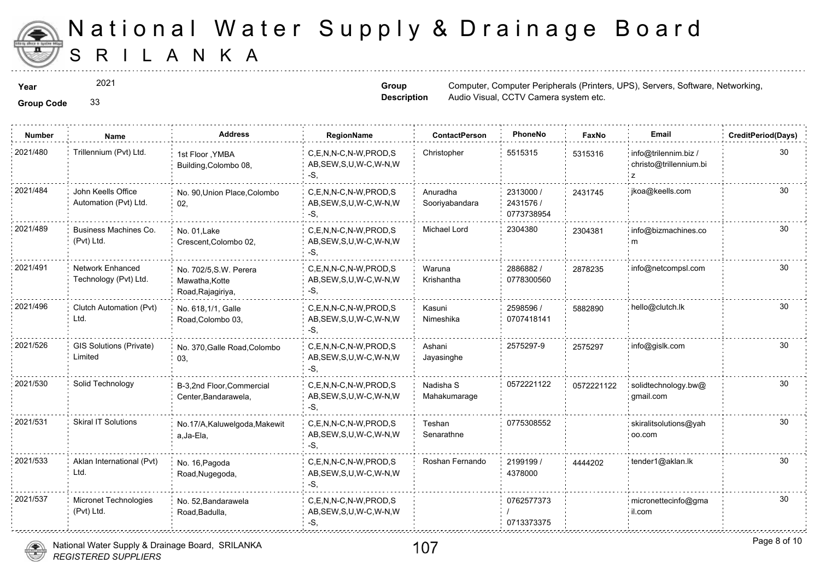

2021

**Group Description**

**Year** Computer, Computer, Computer, Computer, Computer, Peripherals (Printers, UPS), Servers, Software, Software, Software, Software, Software, Software, Software, Software, Software, Software, Software, Software, Softwar Audio Visual, CCTV Camera system e

| <b>Group Code</b> |  |  | 33 |
|-------------------|--|--|----|
|-------------------|--|--|----|

| <b>Number</b> | Name                                        | <b>Address</b>                                                | RegionName                                                   | <b>ContactPerson</b>       | PhoneNo                              | Faxl   |
|---------------|---------------------------------------------|---------------------------------------------------------------|--------------------------------------------------------------|----------------------------|--------------------------------------|--------|
| 2021/480      | Trillennium (Pvt) Ltd.                      | 1st Floor , YMBA<br>Building, Colombo 08,                     | C.E.N.N-C.N-W.PROD.S<br>AB, SEW, S, U, W-C, W-N, W<br>-S.    | Christopher                | 5515315                              | 531531 |
| 2021/484      | John Keells Office<br>Automation (Pvt) Ltd. | No. 90, Union Place, Colombo<br>02,                           | C.E.N.N-C.N-W.PROD.S<br>AB, SEW, S, U, W-C, W-N, W<br>-S.    | Anuradha<br>Sooriyabandara | 2313000 /<br>2431576 /<br>0773738954 | 243174 |
| 2021/489      | Business Machines Co.<br>(Pvt) Ltd.         | No. 01. Lake<br>Crescent, Colombo 02,                         | C.E.N.N-C.N-W.PROD.S<br>AB, SEW, S, U, W-C, W-N, W<br>-S.    | Michael Lord               | 2304380                              | 230438 |
| 2021/491      | Network Enhanced<br>Technology (Pvt) Ltd.   | No. 702/5, S.W. Perera<br>Mawatha, Kotte<br>Road, Rajagiriya, | C,E,N,N-C,N-W,PROD,S<br>AB, SEW, S, U, W-C, W-N, W<br>-S,    | Waruna<br>Krishantha       | 2886882/<br>0778300560               | 287823 |
| 2021/496      | Clutch Automation (Pvt)<br>Ltd.             | No. 618, 1/1, Galle<br>Road, Colombo 03,                      | C,E,N,N-C,N-W,PROD,S<br>AB, SEW, S, U, W-C, W-N, W<br>-S,    | Kasuni<br>Nimeshika        | 2598596 /<br>0707418141              | 588289 |
| 2021/526      | GIS Solutions (Private)<br>Limited          | No. 370, Galle Road, Colombo<br>03,                           | C,E,N,N-C,N-W,PROD,S<br>AB, SEW, S, U, W-C, W-N, W<br>-S.    | Ashani<br>Jayasinghe       | 2575297-9                            | 257529 |
| 2021/530      | Solid Technology                            | B-3,2nd Floor, Commercial<br>Center, Bandarawela,             | C.E.N.N-C.N-W.PROD.S<br>AB, SEW, S, U, W-C, W-N, W<br>$-S$ . | Nadisha S<br>Mahakumarage  | 0572221122                           | 057222 |
| 2021/531      | <b>Skiral IT Solutions</b>                  | No.17/A, Kaluwelgoda, Makewit<br>a, Ja-Ela,                   | C,E,N,N-C,N-W,PROD,S<br>AB, SEW, S, U, W-C, W-N, W<br>-S.    | Teshan<br>Senarathne       | 0775308552                           |        |
| 2021/533      | Aklan International (Pvt)<br>Ltd.           | No. 16, Pagoda<br>Road, Nugegoda,                             | C.E.N.N-C.N-W.PROD.S<br>AB, SEW, S, U, W-C, W-N, W<br>-S.    | Roshan Fernando            | 2199199 /<br>4378000                 | 444420 |
| 2021/537      | Micronet Technologies<br>(Pvt) Ltd.         | No. 52, Bandarawela<br>Road, Badulla,                         | C.E.N.N-C.N-W.PROD.S<br>AB, SEW, S, U, W-C, W-N, W<br>-S.    |                            | 0762577373<br>0713373375             |        |



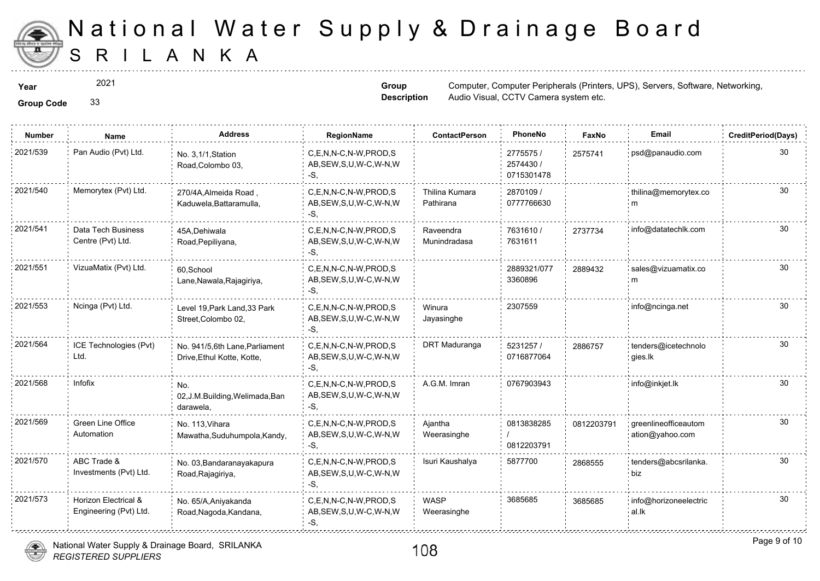

2021

**Group Code** 33

**Group Description**

**Year** Computer, Computer, Computer, Computer, Computer, Peripherals (Printers, UPS), Servers, Software, Software, Software, Software, Software, Software, Software, Software, Software, Software, Software, Software, Softwar Audio Visual, CCTV Camera system e

| <b>Group Code</b> |  |
|-------------------|--|

| <b>Number</b> | Name                                           | <b>Address</b>                                               | RegionName                                                | <b>ContactPerson</b>        | PhoneNo                              | Faxl   |
|---------------|------------------------------------------------|--------------------------------------------------------------|-----------------------------------------------------------|-----------------------------|--------------------------------------|--------|
| 2021/539      | Pan Audio (Pvt) Ltd.                           | No. 3,1/1, Station<br>Road, Colombo 03,                      | C,E,N,N-C,N-W,PROD,S<br>AB, SEW, S, U, W-C, W-N, W<br>-S, |                             | 2775575 /<br>2574430 /<br>0715301478 | 257574 |
| 2021/540      | Memorytex (Pvt) Ltd.                           | 270/4A, Almeida Road,<br>Kaduwela, Battaramulla,             | C.E.N.N-C.N-W.PROD.S<br>AB, SEW, S, U, W-C, W-N, W<br>-S. | Thilina Kumara<br>Pathirana | 2870109 /<br>0777766630              |        |
| 2021/541      | Data Tech Business<br>Centre (Pvt) Ltd.        | 45A, Dehiwala<br>Road, Pepiliyana,                           | C.E.N.N-C.N-W.PROD.S<br>AB, SEW, S, U, W-C, W-N, W<br>-S, | Raveendra<br>Munindradasa   | 7631610/<br>7631611                  | 273773 |
| 2021/551      | VizuaMatix (Pvt) Ltd.                          | 60,School<br>Lane, Nawala, Rajagiriya,                       | C.E.N.N-C.N-W.PROD.S<br>AB, SEW, S, U, W-C, W-N, W<br>-S. |                             | 2889321/077<br>3360896               | 288943 |
| 2021/553      | Ncinga (Pvt) Ltd.                              | Level 19, Park Land, 33 Park<br>Street, Colombo 02,          | C,E,N,N-C,N-W,PROD,S<br>AB, SEW, S, U, W-C, W-N, W<br>-S. | Winura<br>Jayasinghe        | 2307559                              |        |
| 2021/564      | ICE Technologies (Pvt)<br>Ltd.                 | No. 941/5,6th Lane, Parliament<br>Drive, Ethul Kotte, Kotte, | C,E,N,N-C,N-W,PROD,S<br>AB, SEW, S, U, W-C, W-N, W<br>-S. | DRT Maduranga               | 5231257 /<br>0716877064              | 288675 |
| 2021/568      | Infofix                                        | No.<br>02, J.M. Building, Welimada, Ban<br>darawela,         | C,E,N,N-C,N-W,PROD,S<br>AB, SEW, S, U, W-C, W-N, W<br>-S, | A.G.M. Imran                | 0767903943                           |        |
| 2021/569      | <b>Green Line Office</b><br>Automation         | No. 113, Vihara<br>Mawatha, Suduhumpola, Kandy,              | C,E,N,N-C,N-W,PROD,S<br>AB, SEW, S, U, W-C, W-N, W<br>-S, | Ajantha<br>Weerasinghe      | 0813838285<br>0812203791             | 081220 |
| 2021/570      | ABC Trade &<br>Investments (Pvt) Ltd.          | No. 03, Bandaranayakapura<br>Road, Rajagiriya,               | C.E.N.N-C.N-W.PROD.S<br>AB, SEW, S, U, W-C, W-N, W<br>-S, | Isuri Kaushalya             | 5877700                              | 286855 |
| 2021/573      | Horizon Electrical &<br>Engineering (Pvt) Ltd. | No. 65/A, Aniyakanda<br>Road, Nagoda, Kandana,               | C,E,N,N-C,N-W,PROD,S<br>AB, SEW, S, U, W-C, W-N, W<br>-S. | <b>WASP</b><br>Weerasinghe  | 3685685                              | 368568 |